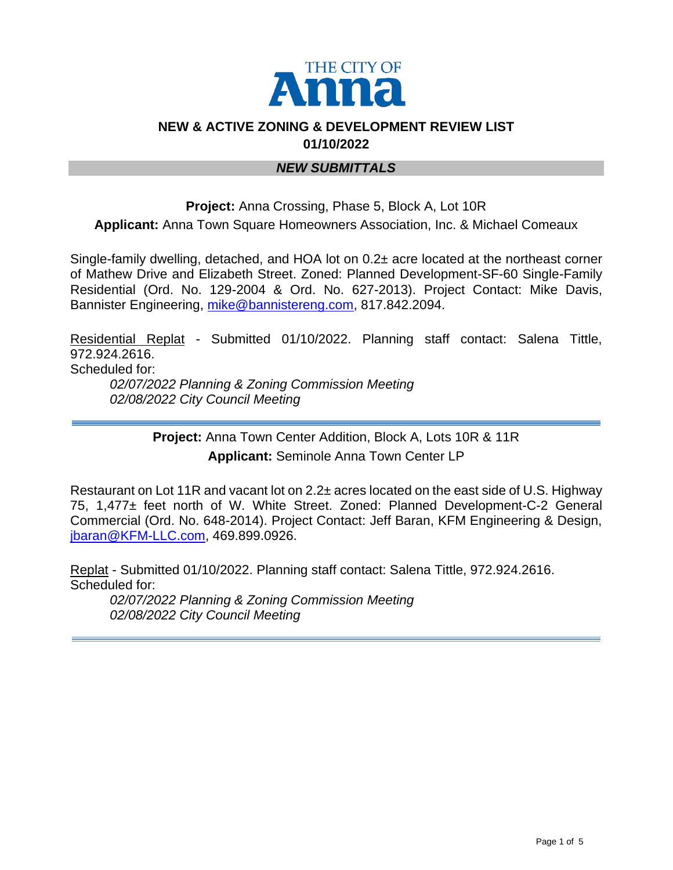

### **NEW & ACTIVE ZONING & DEVELOPMENT REVIEW LIST 01/10/2022**

#### *NEW SUBMITTALS*

# **Project:** Anna Crossing, Phase 5, Block A, Lot 10R **Applicant:** Anna Town Square Homeowners Association, Inc. & Michael Comeaux

Single-family dwelling, detached, and HOA lot on 0.2± acre located at the northeast corner of Mathew Drive and Elizabeth Street. Zoned: Planned Development-SF-60 Single-Family Residential (Ord. No. 129-2004 & Ord. No. 627-2013). Project Contact: Mike Davis, Bannister Engineering, [mike@bannistereng.com,](mailto:mike@bannistereng.com) 817.842.2094.

Residential Replat - Submitted 01/10/2022. Planning staff contact: Salena Tittle, 972.924.2616. Scheduled for: *02/07/2022 Planning & Zoning Commission Meeting*

*02/08/2022 City Council Meeting* 

**Project:** Anna Town Center Addition, Block A, Lots 10R & 11R **Applicant:** Seminole Anna Town Center LP

Restaurant on Lot 11R and vacant lot on 2.2± acres located on the east side of U.S. Highway 75, 1,477± feet north of W. White Street. Zoned: Planned Development-C-2 General Commercial (Ord. No. 648-2014). Project Contact: Jeff Baran, KFM Engineering & Design, [jbaran@KFM-LLC.com,](mailto:jbaran@KFM-LLC.com) 469.899.0926.

Replat - Submitted 01/10/2022. Planning staff contact: Salena Tittle, 972.924.2616. Scheduled for:

*02/07/2022 Planning & Zoning Commission Meeting 02/08/2022 City Council Meeting*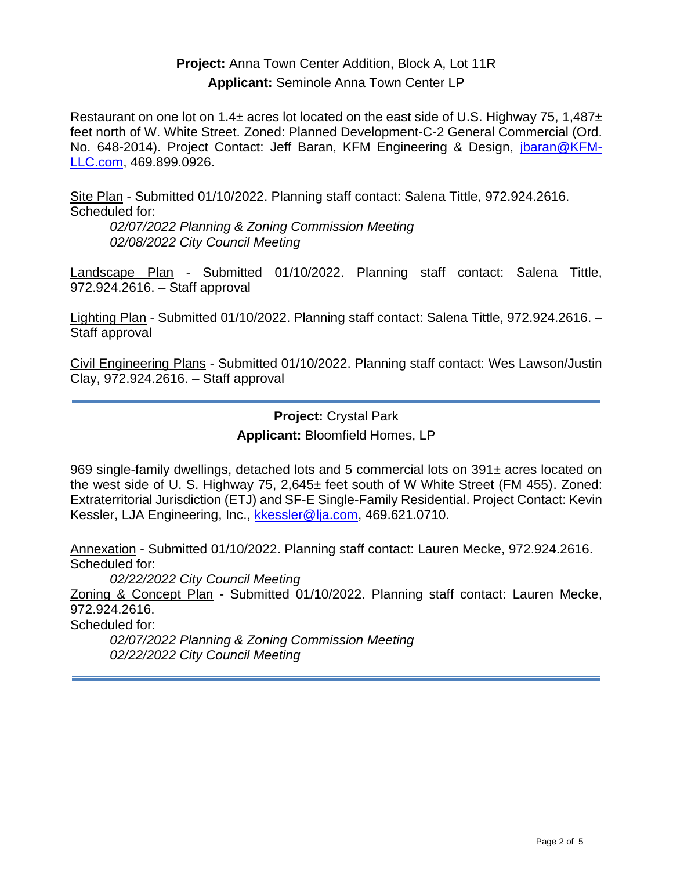## **Project:** Anna Town Center Addition, Block A, Lot 11R **Applicant:** Seminole Anna Town Center LP

Restaurant on one lot on 1.4 $\pm$  acres lot located on the east side of U.S. Highway 75, 1.487 $\pm$ feet north of W. White Street. Zoned: Planned Development-C-2 General Commercial (Ord. No. 648-2014). Project Contact: Jeff Baran, KFM Engineering & Design, [jbaran@KFM-](mailto:jbaran@KFM-LLC.com)[LLC.com,](mailto:jbaran@KFM-LLC.com) 469.899.0926.

Site Plan - Submitted 01/10/2022. Planning staff contact: Salena Tittle, 972.924.2616. Scheduled for:

*02/07/2022 Planning & Zoning Commission Meeting 02/08/2022 City Council Meeting* 

Landscape Plan - Submitted 01/10/2022. Planning staff contact: Salena Tittle, 972.924.2616. – Staff approval

Lighting Plan - Submitted 01/10/2022. Planning staff contact: Salena Tittle, 972.924.2616. – Staff approval

Civil Engineering Plans - Submitted 01/10/2022. Planning staff contact: Wes Lawson/Justin Clay, 972.924.2616. – Staff approval

> **Project:** Crystal Park **Applicant:** Bloomfield Homes, LP

969 single-family dwellings, detached lots and 5 commercial lots on 391± acres located on the west side of U. S. Highway 75, 2,645± feet south of W White Street (FM 455). Zoned: Extraterritorial Jurisdiction (ETJ) and SF-E Single-Family Residential. Project Contact: Kevin Kessler, LJA Engineering, Inc., [kkessler@lja.com,](mailto:kkessler@lja.com) 469.621.0710.

Annexation - Submitted 01/10/2022. Planning staff contact: Lauren Mecke, 972.924.2616. Scheduled for:

*02/22/2022 City Council Meeting* 

Zoning & Concept Plan - Submitted 01/10/2022. Planning staff contact: Lauren Mecke, 972.924.2616.

Scheduled for:

*02/07/2022 Planning & Zoning Commission Meeting 02/22/2022 City Council Meeting*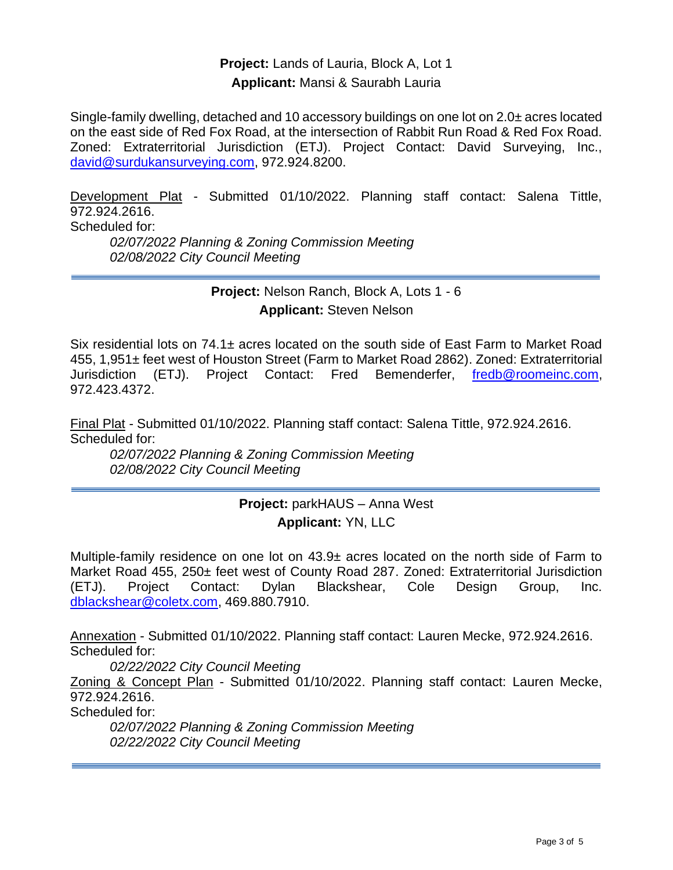**Project:** Lands of Lauria, Block A, Lot 1 **Applicant:** Mansi & Saurabh Lauria

Single-family dwelling, detached and 10 accessory buildings on one lot on 2.0± acres located on the east side of Red Fox Road, at the intersection of Rabbit Run Road & Red Fox Road. Zoned: Extraterritorial Jurisdiction (ETJ). Project Contact: David Surveying, Inc., [david@surdukansurveying.com,](mailto:david@surdukansurveying.com) 972.924.8200.

Development Plat - Submitted 01/10/2022. Planning staff contact: Salena Tittle, 972.924.2616. Scheduled for:

*02/07/2022 Planning & Zoning Commission Meeting 02/08/2022 City Council Meeting* 

> **Project:** Nelson Ranch, Block A, Lots 1 - 6 **Applicant:** Steven Nelson

Six residential lots on 74.1± acres located on the south side of East Farm to Market Road 455, 1,951± feet west of Houston Street (Farm to Market Road 2862). Zoned: Extraterritorial Jurisdiction (ETJ). Project Contact: Fred Bemenderfer, [fredb@roomeinc.com,](mailto:fredb@roomeinc.com) 972.423.4372.

Final Plat - Submitted 01/10/2022. Planning staff contact: Salena Tittle, 972.924.2616. Scheduled for:

*02/07/2022 Planning & Zoning Commission Meeting 02/08/2022 City Council Meeting* 

### **Project:** parkHAUS – Anna West **Applicant:** YN, LLC

Multiple-family residence on one lot on  $43.9\pm$  acres located on the north side of Farm to Market Road 455, 250± feet west of County Road 287. Zoned: Extraterritorial Jurisdiction (ETJ). Project Contact: Dylan Blackshear, Cole Design Group, Inc. [dblackshear@coletx.com,](mailto:dblackshear@coletx.com) 469.880.7910.

Annexation - Submitted 01/10/2022. Planning staff contact: Lauren Mecke, 972.924.2616. Scheduled for:

*02/22/2022 City Council Meeting* 

Zoning & Concept Plan - Submitted 01/10/2022. Planning staff contact: Lauren Mecke, 972.924.2616.

Scheduled for:

*02/07/2022 Planning & Zoning Commission Meeting 02/22/2022 City Council Meeting*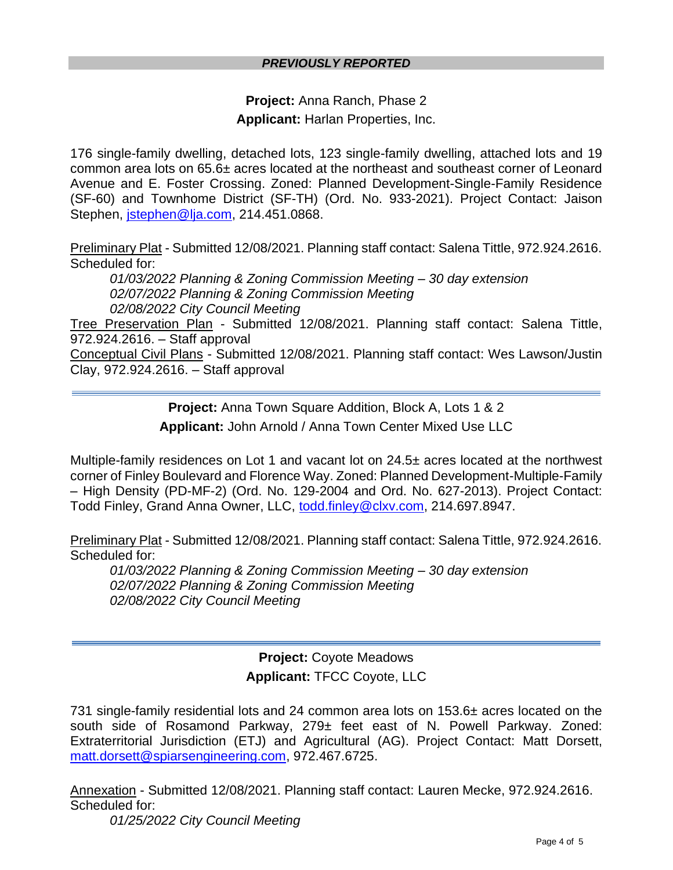#### *PREVIOUSLY REPORTED*

**Project:** Anna Ranch, Phase 2 **Applicant:** Harlan Properties, Inc.

176 single-family dwelling, detached lots, 123 single-family dwelling, attached lots and 19 common area lots on 65.6± acres located at the northeast and southeast corner of Leonard Avenue and E. Foster Crossing. Zoned: Planned Development-Single-Family Residence (SF-60) and Townhome District (SF-TH) (Ord. No. 933-2021). Project Contact: Jaison Stephen, [jstephen@lja.com,](mailto:jstephen@lja.com) 214.451.0868.

Preliminary Plat - Submitted 12/08/2021. Planning staff contact: Salena Tittle, 972.924.2616. Scheduled for:

*01/03/2022 Planning & Zoning Commission Meeting – 30 day extension 02/07/2022 Planning & Zoning Commission Meeting 02/08/2022 City Council Meeting* 

Tree Preservation Plan - Submitted 12/08/2021. Planning staff contact: Salena Tittle, 972.924.2616. – Staff approval

Conceptual Civil Plans - Submitted 12/08/2021. Planning staff contact: Wes Lawson/Justin Clay, 972.924.2616. – Staff approval

> **Project:** Anna Town Square Addition, Block A, Lots 1 & 2 **Applicant:** John Arnold / Anna Town Center Mixed Use LLC

Multiple-family residences on Lot 1 and vacant lot on 24.5± acres located at the northwest corner of Finley Boulevard and Florence Way. Zoned: Planned Development-Multiple-Family – High Density (PD-MF-2) (Ord. No. 129-2004 and Ord. No. 627-2013). Project Contact: Todd Finley, Grand Anna Owner, LLC, [todd.finley@clxv.com,](mailto:todd.finley@clxv.com) 214.697.8947.

Preliminary Plat - Submitted 12/08/2021. Planning staff contact: Salena Tittle, 972.924.2616. Scheduled for:

*01/03/2022 Planning & Zoning Commission Meeting – 30 day extension 02/07/2022 Planning & Zoning Commission Meeting 02/08/2022 City Council Meeting*

> **Project:** Coyote Meadows **Applicant:** TFCC Coyote, LLC

731 single-family residential lots and 24 common area lots on 153.6± acres located on the south side of Rosamond Parkway, 279± feet east of N. Powell Parkway. Zoned: Extraterritorial Jurisdiction (ETJ) and Agricultural (AG). Project Contact: Matt Dorsett, [matt.dorsett@spiarsengineering.com,](mailto:matt.dorsett@spiarsengineering.com) 972.467.6725.

Annexation - Submitted 12/08/2021. Planning staff contact: Lauren Mecke, 972.924.2616. Scheduled for:

*01/25/2022 City Council Meeting*